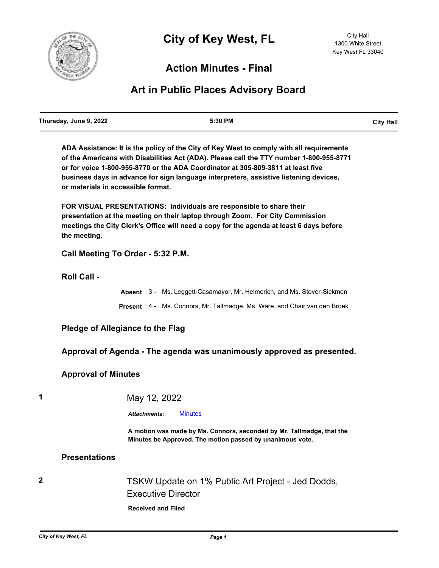

## **Action Minutes - Final**

## **Art in Public Places Advisory Board**

**ADA Assistance: It is the policy of the City of Key West to comply with all requirements of the Americans with Disabilities Act (ADA). Please call the TTY number 1-800-955-8771 or for voice 1-800-955-8770 or the ADA Coordinator at 305-809-3811 at least five business days in advance for sign language interpreters, assistive listening devices, or materials in accessible format.**

**FOR VISUAL PRESENTATIONS: Individuals are responsible to share their presentation at the meeting on their laptop through Zoom. For City Commission meetings the City Clerk's Office will need a copy for the agenda at least 6 days before the meeting.**

**Call Meeting To Order - 5:32 P.M.**

**Roll Call -**

|  | <b>Absent</b> 3 - Ms. Leggett-Casamayor, Mr. Helmerich, and Ms. Stover-Sickmen   |
|--|----------------------------------------------------------------------------------|
|  | <b>Present</b> 4 - Ms. Connors, Mr. Tallmadge, Ms. Ware, and Chair van den Broek |

**Pledge of Allegiance to the Flag**

**Approval of Agenda - The agenda was unanimously approved as presented.**

## **Approval of Minutes**

**1** May 12, 2022

*Attachments:* [Minutes](http://KeyWest.legistar.com/gateway.aspx?M=F&ID=290bbcdb-6dc7-427b-bee7-bf733f89de0c.pdf)

**A motion was made by Ms. Connors, seconded by Mr. Tallmadge, that the Minutes be Approved. The motion passed by unanimous vote.**

## **Presentations**

**2** TSKW Update on 1% Public Art Project - Jed Dodds, Executive Director

**Received and Filed**